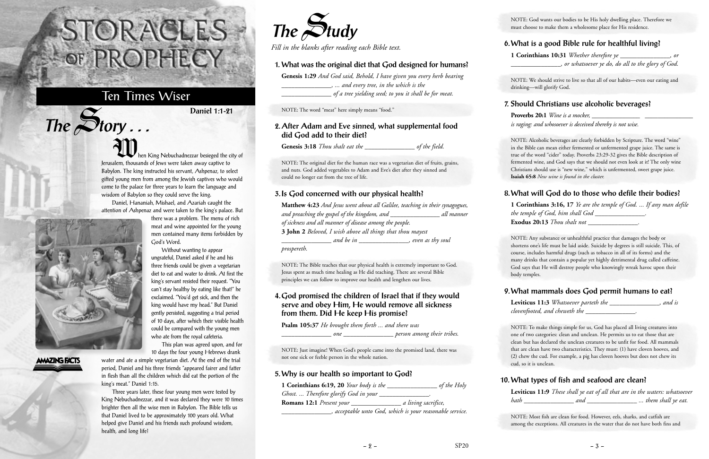hen King Nebuchadnezzar besieged the city of Jerusalem, thousands of Jews were taken away captive to Babylon. The king instructed his servant, Ashpenaz, to select gifted young men from among the Jewish captives who would come to the palace for three years to learn the language and wisdom of Babylon so they could serve the king.

Daniel, Hananiah, Mishael, and Azariah caught the attention of Ashpenaz and were taken to the king's palace. But

Without wanting to appear



 $The$  $S$ **tory** ...

## **AMAZING FACTS**

This plan was agreed upon, and for

water and ate a simple vegetarian diet. At the end of the trial period, Daniel and his three friends "appeared fairer and fatter in flesh than all the children which did eat the portion of the king's meat." Daniel 1:15.

Three years later, these four young men were tested by King Nebuchadnezzar, and it was declared they were 10 times brighter then all the wise men in Babylon. The Bible tells us that Daniel lived to be approximately 100 years old. What helped give Daniel and his friends such profound wisdom, health, and long life?

# STORACLES -OF PROPHECY

## Ten Times Wiser

**Daniel 1:1-21**



*Fill in the blanks after reading each Bible text.*

#### **1. What was the original diet that God designed for humans?**

**Genesis 1:29** *And God said, Behold, I have given you every herb bearing \_\_\_\_\_\_\_\_\_\_\_\_\_\_\_, ... and every tree, in the which is the \_\_\_\_\_\_\_\_\_\_\_\_\_\_\_ of a tree yielding seed; to you it shall be for meat.* 

NOTE: The word "meat" here simply means "food."

#### **2. After Adam and Eve sinned, what supplemental food did God add to their diet?**

**Proverbs 20:1** *Wine is a mocker*, *is raging: and whosoever is deceived thereby is not wise.*

**Genesis 3:18** *Thou shalt eat the \_\_\_\_\_\_\_\_\_\_\_\_\_\_\_ of the field.*

NOTE: The original diet for the human race was a vegetarian diet of fruits, grains, and nuts. God added vegetables to Adam and Eve's diet after they sinned and could no longer eat from the tree of life.

#### **3. Is God concerned with our physical health?**

| <b>Matthew 4:23</b> And Jesus went about all Galilee, teaching in their synagogues, |            |
|-------------------------------------------------------------------------------------|------------|
| and preaching the gospel of the kingdom, and __                                     | all manner |
| of sickness and all manner of disease among the people.                             |            |
| 3 John 2 Beloved, I wish above all things that thou mayest                          |            |
| even as thy soul<br>and be in                                                       |            |
|                                                                                     |            |

*prospereth.*

NOTE: The Bible teaches that our physical health is extremely important to God. Jesus spent as much time healing as He did teaching. There are several Bible principles we can follow to improve our health and lengthen our lives.

#### **4. God promised the children of Israel that if they would serve and obey Him, He would remove all sickness from them. Did He keep His promise?**

**Psalm 105:37** *He brought them forth ... and there was*

*\_\_\_\_\_\_\_\_\_\_\_\_\_\_\_ one \_\_\_\_\_\_\_\_\_\_\_\_\_\_\_ person among their tribes.*

NOTE: Just imagine! When God's people came into the promised land, there was not one sick or feeble person in the whole nation.

#### **5. Why is our health so important to God?**

| 1 Corinthians 6:19, 20 Your body is the | of the Holy                                            |
|-----------------------------------------|--------------------------------------------------------|
| Ghost.  Therefore glorify God in your   |                                                        |
|                                         | a living sacrifice,                                    |
|                                         | acceptable unto God, which is your reasonable service. |

NOTE: God wants our bodies to be His holy dwelling place. Therefore we must choose to make them a wholesome place for His residence.

#### **6. What is a good Bible rule for healthful living?**

**1 Corinthians 10:31** *Whether therefore ye \_\_\_\_\_\_\_\_\_\_\_\_\_\_\_, or \_\_\_\_\_\_\_\_\_\_\_\_\_\_\_, or whatsoever ye do, do all to the glory of God.*

NOTE: We should strive to live so that all of our habits—even our eating and drinking—will glorify God.

#### **7. Should Christians use alcoholic beverages?**

NOTE: Alcoholic beverages are clearly forbidden by Scripture. The word "wine" in the Bible can mean either fermented or unfermented grape juice. The same is true of the word "cider" today. Proverbs 23:29-32 gives the Bible description of fermented wine, and God says that we should not even look at it! The only wine Christians should use is "new wine," which is unfermented, sweet grape juice. **Isaiah 65:8** *New wine is found in the cluster.*

#### **8. What will God do to those who defile their bodies?**

**1 Corinthians 3:16, 17** *Ye are the temple of God. ... If any man defile the temple of God, him shall God \_\_\_\_\_\_\_\_\_\_\_\_\_\_\_.* **Exodus 20:13** *Thou shalt not \_\_\_\_\_\_\_\_\_\_\_\_\_\_\_.*

NOTE: Any substance or unhealthful practice that damages the body or shortens one's life must be laid aside. Suicide by degrees is still suicide. This, of course, includes harmful drugs (such as tobacco in all of its forms) and the many drinks that contain a popular yet highly detrimental drug called caffeine. God says that He will destroy people who knowingly wreak havoc upon their body temples.

### **9. What mammals does God permit humans to eat?**

**Leviticus 11:3** *Whatsoever parteth the \_\_\_\_\_\_\_\_\_\_\_\_\_\_\_, and is clovenfooted, and cheweth the \_\_\_\_\_\_\_\_\_\_\_\_\_\_\_.*

NOTE: To make things simple for us, God has placed all living creatures into one of two categories: clean and unclean. He permits us to eat those that are clean but has declared the unclean creatures to be unfit for food. All mammals that are clean have two characteristics. They must: (1) have cloven hooves, and (2) chew the cud. For example, a pig has cloven hooves but does not chew its cud, so it is unclean.

### **10. What types of fish and seafood are clean?**

**Leviticus 11:9** *These shall ye eat of all that are in the waters: whatsoever hath \_\_\_\_\_\_\_\_\_\_\_\_\_\_\_ and \_\_\_\_\_\_\_\_\_\_\_\_\_\_\_ ... them shall ye eat.*

NOTE: Most fish are clean for food. However, eels, sharks, and catfish are among the exceptions. All creatures in the water that do not have both fins and